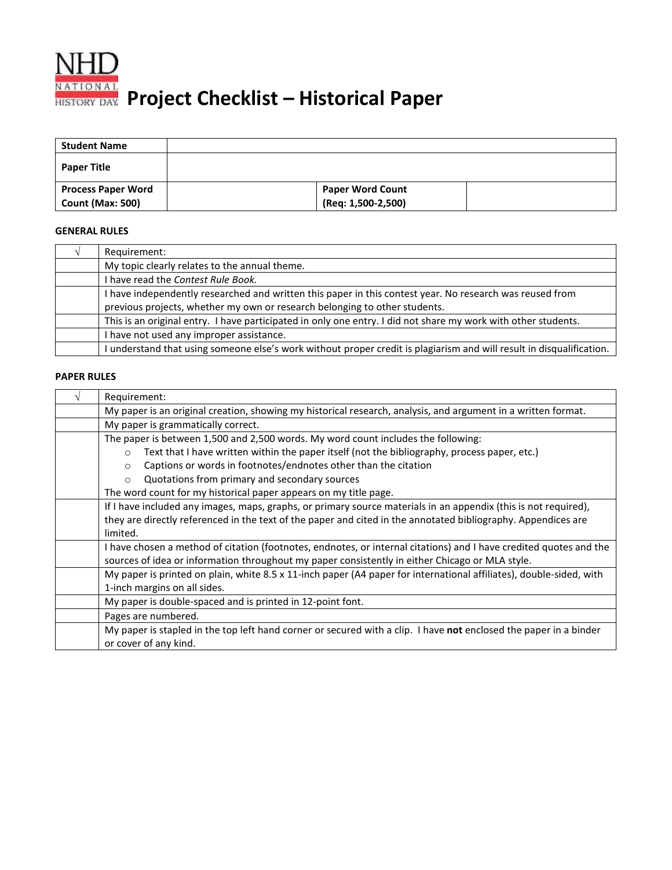

## **RATIONAL**<br>**HISTORY DAY** Project Checklist – Historical Paper

| <b>Student Name</b>       |                         |  |
|---------------------------|-------------------------|--|
| <b>Paper Title</b>        |                         |  |
| <b>Process Paper Word</b> | <b>Paper Word Count</b> |  |
| <b>Count (Max: 500)</b>   | (Req: 1,500-2,500)      |  |

## **GENERAL RULES**

| Requirement:                                                                                                                                                                           |
|----------------------------------------------------------------------------------------------------------------------------------------------------------------------------------------|
| My topic clearly relates to the annual theme.                                                                                                                                          |
| I have read the Contest Rule Book.                                                                                                                                                     |
| I have independently researched and written this paper in this contest year. No research was reused from<br>previous projects, whether my own or research belonging to other students. |
| This is an original entry. I have participated in only one entry. I did not share my work with other students.                                                                         |
| I have not used any improper assistance.                                                                                                                                               |
| I understand that using someone else's work without proper credit is plagiarism and will result in disqualification.                                                                   |

## **PAPER RULES**

| Requirement:                                                                                                        |
|---------------------------------------------------------------------------------------------------------------------|
| My paper is an original creation, showing my historical research, analysis, and argument in a written format.       |
| My paper is grammatically correct.                                                                                  |
| The paper is between 1,500 and 2,500 words. My word count includes the following:                                   |
| Text that I have written within the paper itself (not the bibliography, process paper, etc.)<br>$\circ$             |
| Captions or words in footnotes/endnotes other than the citation<br>$\circ$                                          |
| Quotations from primary and secondary sources<br>$\circ$                                                            |
| The word count for my historical paper appears on my title page.                                                    |
| If I have included any images, maps, graphs, or primary source materials in an appendix (this is not required),     |
| they are directly referenced in the text of the paper and cited in the annotated bibliography. Appendices are       |
| limited.                                                                                                            |
| I have chosen a method of citation (footnotes, endnotes, or internal citations) and I have credited quotes and the  |
| sources of idea or information throughout my paper consistently in either Chicago or MLA style.                     |
| My paper is printed on plain, white 8.5 x 11-inch paper (A4 paper for international affiliates), double-sided, with |
| 1-inch margins on all sides.                                                                                        |
| My paper is double-spaced and is printed in 12-point font.                                                          |
| Pages are numbered.                                                                                                 |
| My paper is stapled in the top left hand corner or secured with a clip. I have not enclosed the paper in a binder   |
| or cover of any kind.                                                                                               |
|                                                                                                                     |